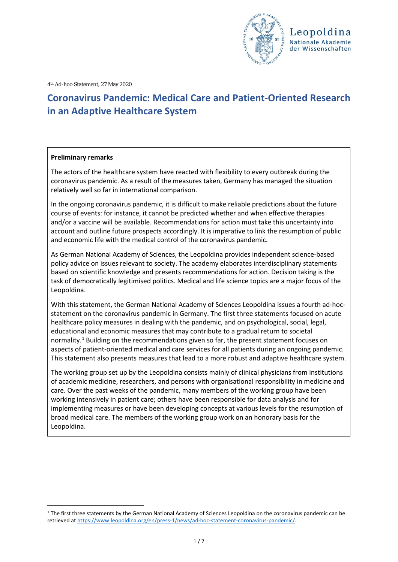

4th Ad-hoc-Statement, 27 May 2020

# **Coronavirus Pandemic: Medical Care and Patient-Oriented Research in an Adaptive Healthcare System**

#### **Preliminary remarks**

The actors of the healthcare system have reacted with flexibility to every outbreak during the coronavirus pandemic. As a result of the measures taken, Germany has managed the situation relatively well so far in international comparison.

In the ongoing coronavirus pandemic, it is difficult to make reliable predictions about the future course of events: for instance, it cannot be predicted whether and when effective therapies and/or a vaccine will be available. Recommendations for action must take this uncertainty into account and outline future prospects accordingly. It is imperative to link the resumption of public and economic life with the medical control of the coronavirus pandemic.

As German National Academy of Sciences, the Leopoldina provides independent science-based policy advice on issues relevant to society. The academy elaborates interdisciplinary statements based on scientific knowledge and presents recommendations for action. Decision taking is the task of democratically legitimised politics. Medical and life science topics are a major focus of the Leopoldina.

With this statement, the German National Academy of Sciences Leopoldina issues a fourth ad-hocstatement on the coronavirus pandemic in Germany. The first three statements focused on acute healthcare policy measures in dealing with the pandemic, and on psychological, social, legal, educational and economic measures that may contribute to a gradual return to societal normality.<sup>[1](#page-0-0)</sup> Building on the recommendations given so far, the present statement focuses on aspects of patient-oriented medical and care services for all patients during an ongoing pandemic. This statement also presents measures that lead to a more robust and adaptive healthcare system.

The working group set up by the Leopoldina consists mainly of clinical physicians from institutions of academic medicine, researchers, and persons with organisational responsibility in medicine and care. Over the past weeks of the pandemic, many members of the working group have been working intensively in patient care; others have been responsible for data analysis and for implementing measures or have been developing concepts at various levels for the resumption of broad medical care. The members of the working group work on an honorary basis for the Leopoldina.

<span id="page-0-0"></span><sup>&</sup>lt;sup>1</sup> The first three statements by the German National Academy of Sciences Leopoldina on the coronavirus pandemic can be retrieved at [https://www.leopoldina.org/en/press-1/news/ad-hoc-statement-coronavirus-pandemic/.](https://www.leopoldina.org/en/press-1/news/ad-hoc-statement-coronavirus-pandemic/)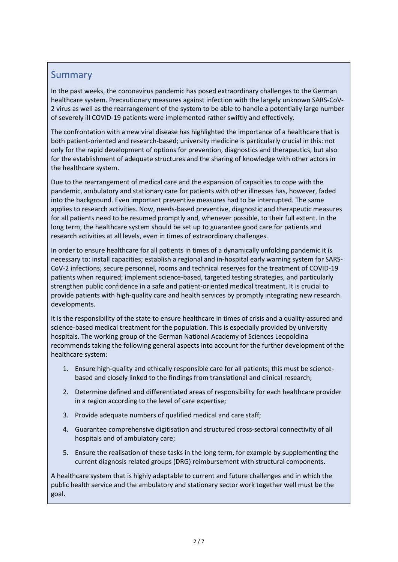### Summary

In the past weeks, the coronavirus pandemic has posed extraordinary challenges to the German healthcare system. Precautionary measures against infection with the largely unknown SARS-CoV-2 virus as well as the rearrangement of the system to be able to handle a potentially large number of severely ill COVID-19 patients were implemented rather swiftly and effectively.

The confrontation with a new viral disease has highlighted the importance of a healthcare that is both patient-oriented and research-based; university medicine is particularly crucial in this: not only for the rapid development of options for prevention, diagnostics and therapeutics, but also for the establishment of adequate structures and the sharing of knowledge with other actors in the healthcare system.

Due to the rearrangement of medical care and the expansion of capacities to cope with the pandemic, ambulatory and stationary care for patients with other illnesses has, however, faded into the background. Even important preventive measures had to be interrupted. The same applies to research activities. Now, needs-based preventive, diagnostic and therapeutic measures for all patients need to be resumed promptly and, whenever possible, to their full extent. In the long term, the healthcare system should be set up to guarantee good care for patients and research activities at all levels, even in times of extraordinary challenges.

In order to ensure healthcare for all patients in times of a dynamically unfolding pandemic it is necessary to: install capacities; establish a regional and in-hospital early warning system for SARS-CoV-2 infections; secure personnel, rooms and technical reserves for the treatment of COVID-19 patients when required; implement science-based, targeted testing strategies, and particularly strengthen public confidence in a safe and patient-oriented medical treatment. It is crucial to provide patients with high-quality care and health services by promptly integrating new research developments.

It is the responsibility of the state to ensure healthcare in times of crisis and a quality-assured and science-based medical treatment for the population. This is especially provided by university hospitals. The working group of the German National Academy of Sciences Leopoldina recommends taking the following general aspects into account for the further development of the healthcare system:

- 1. Ensure high-quality and ethically responsible care for all patients; this must be sciencebased and closely linked to the findings from translational and clinical research;
- 2. Determine defined and differentiated areas of responsibility for each healthcare provider in a region according to the level of care expertise;
- 3. Provide adequate numbers of qualified medical and care staff;
- 4. Guarantee comprehensive digitisation and structured cross-sectoral connectivity of all hospitals and of ambulatory care;
- 5. Ensure the realisation of these tasks in the long term, for example by supplementing the current diagnosis related groups (DRG) reimbursement with structural components.

A healthcare system that is highly adaptable to current and future challenges and in which the public health service and the ambulatory and stationary sector work together well must be the goal.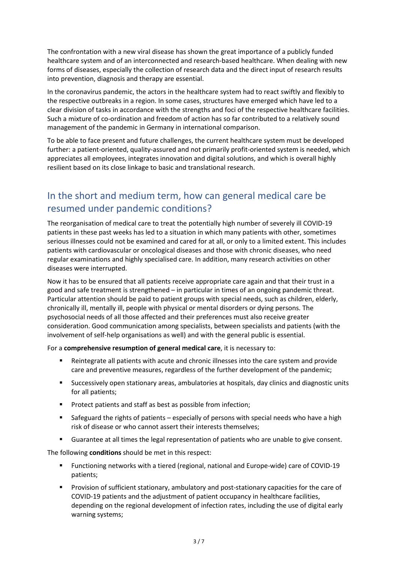The confrontation with a new viral disease has shown the great importance of a publicly funded healthcare system and of an interconnected and research-based healthcare. When dealing with new forms of diseases, especially the collection of research data and the direct input of research results into prevention, diagnosis and therapy are essential.

In the coronavirus pandemic, the actors in the healthcare system had to react swiftly and flexibly to the respective outbreaks in a region. In some cases, structures have emerged which have led to a clear division of tasks in accordance with the strengths and foci of the respective healthcare facilities. Such a mixture of co-ordination and freedom of action has so far contributed to a relatively sound management of the pandemic in Germany in international comparison.

To be able to face present and future challenges, the current healthcare system must be developed further: a patient-oriented, quality-assured and not primarily profit-oriented system is needed, which appreciates all employees, integrates innovation and digital solutions, and which is overall highly resilient based on its close linkage to basic and translational research.

## In the short and medium term, how can general medical care be resumed under pandemic conditions?

The reorganisation of medical care to treat the potentially high number of severely ill COVID-19 patients in these past weeks has led to a situation in which many patients with other, sometimes serious illnesses could not be examined and cared for at all, or only to a limited extent. This includes patients with cardiovascular or oncological diseases and those with chronic diseases, who need regular examinations and highly specialised care. In addition, many research activities on other diseases were interrupted.

Now it has to be ensured that all patients receive appropriate care again and that their trust in a good and safe treatment is strengthened – in particular in times of an ongoing pandemic threat. Particular attention should be paid to patient groups with special needs, such as children, elderly, chronically ill, mentally ill, people with physical or mental disorders or dying persons. The psychosocial needs of all those affected and their preferences must also receive greater consideration. Good communication among specialists, between specialists and patients (with the involvement of self-help organisations as well) and with the general public is essential.

For a **comprehensive resumption of general medical care**, it is necessary to:

- Reintegrate all patients with acute and chronic illnesses into the care system and provide care and preventive measures, regardless of the further development of the pandemic;
- Successively open stationary areas, ambulatories at hospitals, day clinics and diagnostic units for all patients;
- **Protect patients and staff as best as possible from infection;**
- Safeguard the rights of patients especially of persons with special needs who have a high risk of disease or who cannot assert their interests themselves;
- Guarantee at all times the legal representation of patients who are unable to give consent.

The following **conditions** should be met in this respect:

- Functioning networks with a tiered (regional, national and Europe-wide) care of COVID-19 patients;
- **Provision of sufficient stationary, ambulatory and post-stationary capacities for the care of** COVID-19 patients and the adjustment of patient occupancy in healthcare facilities, depending on the regional development of infection rates, including the use of digital early warning systems;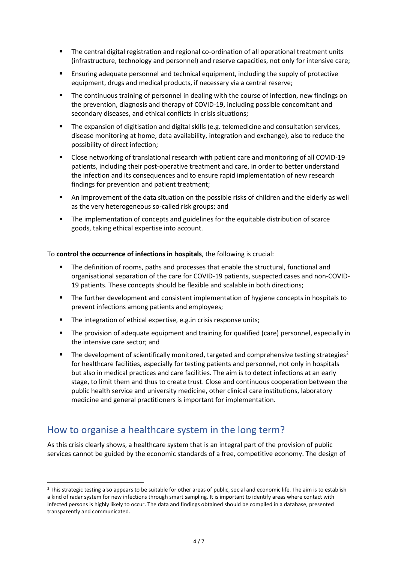- The central digital registration and regional co-ordination of all operational treatment units (infrastructure, technology and personnel) and reserve capacities, not only for intensive care;
- Ensuring adequate personnel and technical equipment, including the supply of protective equipment, drugs and medical products, if necessary via a central reserve;
- **The continuous training of personnel in dealing with the course of infection, new findings on** the prevention, diagnosis and therapy of COVID-19, including possible concomitant and secondary diseases, and ethical conflicts in crisis situations;
- The expansion of digitisation and digital skills (e.g. telemedicine and consultation services, disease monitoring at home, data availability, integration and exchange), also to reduce the possibility of direct infection;
- Close networking of translational research with patient care and monitoring of all COVID-19 patients, including their post-operative treatment and care, in order to better understand the infection and its consequences and to ensure rapid implementation of new research findings for prevention and patient treatment;
- An improvement of the data situation on the possible risks of children and the elderly as well as the very heterogeneous so-called risk groups; and
- **The implementation of concepts and guidelines for the equitable distribution of scarce** goods, taking ethical expertise into account.

To **control the occurrence of infections in hospitals**, the following is crucial:

- The definition of rooms, paths and processes that enable the structural, functional and organisational separation of the care for COVID-19 patients, suspected cases and non-COVID-19 patients. These concepts should be flexible and scalable in both directions;
- The further development and consistent implementation of hygiene concepts in hospitals to prevent infections among patients and employees;
- The integration of ethical expertise, e.g. in crisis response units;
- The provision of adequate equipment and training for qualified (care) personnel, especially in the intensive care sector; and
- The development of scientifically monitored, targeted and comprehensive testing strategies<sup>[2](#page-3-0)</sup> for healthcare facilities, especially for testing patients and personnel, not only in hospitals but also in medical practices and care facilities. The aim is to detect infections at an early stage, to limit them and thus to create trust. Close and continuous cooperation between the public health service and university medicine, other clinical care institutions, laboratory medicine and general practitioners is important for implementation.

## How to organise a healthcare system in the long term?

As this crisis clearly shows, a healthcare system that is an integral part of the provision of public services cannot be guided by the economic standards of a free, competitive economy. The design of

<span id="page-3-0"></span><sup>&</sup>lt;sup>2</sup> This strategic testing also appears to be suitable for other areas of public, social and economic life. The aim is to establish a kind of radar system for new infections through smart sampling. It is important to identify areas where contact with infected persons is highly likely to occur. The data and findings obtained should be compiled in a database, presented transparently and communicated.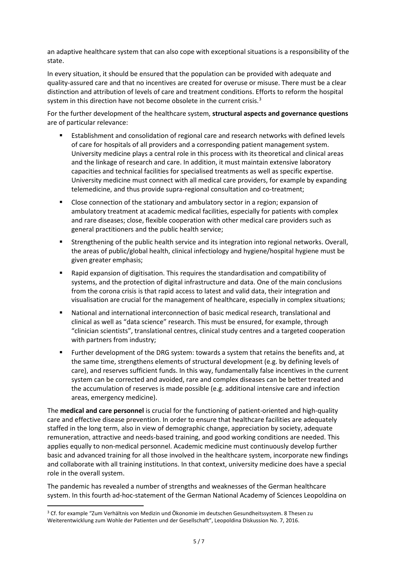an adaptive healthcare system that can also cope with exceptional situations is a responsibility of the state.

In every situation, it should be ensured that the population can be provided with adequate and quality-assured care and that no incentives are created for overuse or misuse. There must be a clear distinction and attribution of levels of care and treatment conditions. Efforts to reform the hospital system in this direction have not become obsolete in the current crisis.<sup>[3](#page-4-0)</sup>

For the further development of the healthcare system, **structural aspects and governance questions**  are of particular relevance:

- Establishment and consolidation of regional care and research networks with defined levels of care for hospitals of all providers and a corresponding patient management system. University medicine plays a central role in this process with its theoretical and clinical areas and the linkage of research and care. In addition, it must maintain extensive laboratory capacities and technical facilities for specialised treatments as well as specific expertise. University medicine must connect with all medical care providers, for example by expanding telemedicine, and thus provide supra-regional consultation and co-treatment;
- Close connection of the stationary and ambulatory sector in a region; expansion of ambulatory treatment at academic medical facilities, especially for patients with complex and rare diseases; close, flexible cooperation with other medical care providers such as general practitioners and the public health service;
- Strengthening of the public health service and its integration into regional networks. Overall, the areas of public/global health, clinical infectiology and hygiene/hospital hygiene must be given greater emphasis;
- Rapid expansion of digitisation. This requires the standardisation and compatibility of systems, and the protection of digital infrastructure and data. One of the main conclusions from the corona crisis is that rapid access to latest and valid data, their integration and visualisation are crucial for the management of healthcare, especially in complex situations;
- National and international interconnection of basic medical research, translational and clinical as well as "data science" research. This must be ensured, for example, through "clinician scientists", translational centres, clinical study centres and a targeted cooperation with partners from industry;
- Further development of the DRG system: towards a system that retains the benefits and, at the same time, strengthens elements of structural development (e.g. by defining levels of care), and reserves sufficient funds. In this way, fundamentally false incentives in the current system can be corrected and avoided, rare and complex diseases can be better treated and the accumulation of reserves is made possible (e.g. additional intensive care and infection areas, emergency medicine).

The **medical and care personnel** is crucial for the functioning of patient-oriented and high-quality care and effective disease prevention. In order to ensure that healthcare facilities are adequately staffed in the long term, also in view of demographic change, appreciation by society, adequate remuneration, attractive and needs-based training, and good working conditions are needed. This applies equally to non-medical personnel. Academic medicine must continuously develop further basic and advanced training for all those involved in the healthcare system, incorporate new findings and collaborate with all training institutions. In that context, university medicine does have a special role in the overall system.

The pandemic has revealed a number of strengths and weaknesses of the German healthcare system. In this fourth ad-hoc-statement of the German National Academy of Sciences Leopoldina on

<span id="page-4-0"></span> <sup>3</sup> Cf. for example "Zum Verhältnis von Medizin und Ökonomie im deutschen Gesundheitssystem. 8 Thesen zu Weiterentwicklung zum Wohle der Patienten und der Gesellschaft", Leopoldina Diskussion No. 7, 2016.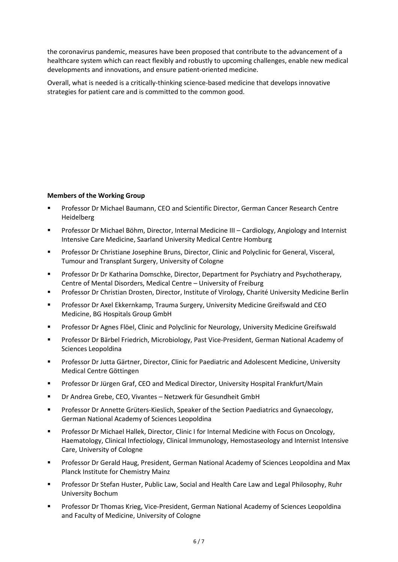the coronavirus pandemic, measures have been proposed that contribute to the advancement of a healthcare system which can react flexibly and robustly to upcoming challenges, enable new medical developments and innovations, and ensure patient-oriented medicine.

Overall, what is needed is a critically-thinking science-based medicine that develops innovative strategies for patient care and is committed to the common good.

### **Members of the Working Group**

- Professor Dr Michael Baumann, CEO and Scientific Director, German Cancer Research Centre Heidelberg
- Professor Dr Michael Böhm, Director, Internal Medicine III Cardiology, Angiology and Internist Intensive Care Medicine, Saarland University Medical Centre Homburg
- Professor Dr Christiane Josephine Bruns, Director, Clinic and Polyclinic for General, Visceral, Tumour and Transplant Surgery, University of Cologne
- Professor Dr Dr Katharina Domschke, Director, Department for Psychiatry and Psychotherapy, Centre of Mental Disorders, Medical Centre – University of Freiburg
- Professor Dr Christian Drosten, Director, Institute of Virology, Charité University Medicine Berlin
- Professor Dr Axel Ekkernkamp, Trauma Surgery, University Medicine Greifswald and CEO Medicine, BG Hospitals Group GmbH
- Professor Dr Agnes Flöel, Clinic and Polyclinic for Neurology, University Medicine Greifswald
- Professor Dr Bärbel Friedrich, Microbiology, Past Vice-President, German National Academy of Sciences Leopoldina
- Professor Dr Jutta Gärtner, Director, Clinic for Paediatric and Adolescent Medicine, University Medical Centre Göttingen
- Professor Dr Jürgen Graf, CEO and Medical Director, University Hospital Frankfurt/Main
- Dr Andrea Grebe, CEO, Vivantes Netzwerk für Gesundheit GmbH
- **Professor Dr Annette Grüters-Kieslich, Speaker of the Section Paediatrics and Gynaecology,** German National Academy of Sciences Leopoldina
- **Professor Dr Michael Hallek, Director, Clinic I for Internal Medicine with Focus on Oncology,** Haematology, Clinical Infectiology, Clinical Immunology, Hemostaseology and Internist Intensive Care, University of Cologne
- Professor Dr Gerald Haug, President, German National Academy of Sciences Leopoldina and Max Planck Institute for Chemistry Mainz
- Professor Dr Stefan Huster, Public Law, Social and Health Care Law and Legal Philosophy, Ruhr University Bochum
- **Professor Dr Thomas Krieg, Vice-President, German National Academy of Sciences Leopoldina** and Faculty of Medicine, University of Cologne